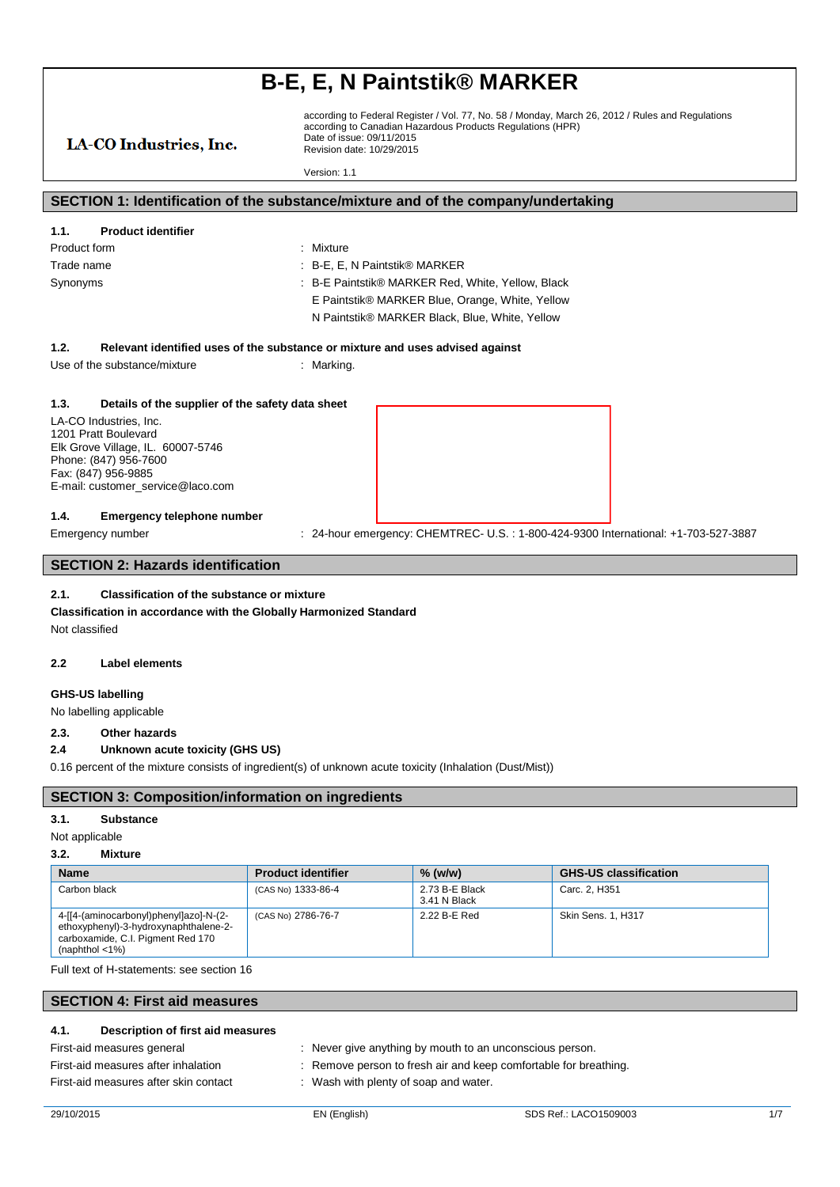according to Federal Register / Vol. 77, No. 58 / Monday, March 26, 2012 / Rules and Regulations according to Canadian Hazardous Products Regulations (HPR) Date of issue: 09/11/2015 Revision date: 10/29/2015

Version: 1.1

### **SECTION 1: Identification of the substance/mixture and of the company/undertaking**

### **1.1. Product identifier**

LA-CO Industries, Inc.

- Product form : Nixture
- Trade name : B-E, E, N Paintstik® MARKER Synonyms : B-E Paintstik® MARKER Red, White, Yellow, Black
	-
	- E Paintstik® MARKER Blue, Orange, White, Yellow
	- N Paintstik® MARKER Black, Blue, White, Yellow

#### **1.2. Relevant identified uses of the substance or mixture and uses advised against**

Use of the substance/mixture : Marking.

#### **1.3. Details of the supplier of the safety data sheet**

LA-CO Industries, Inc. 1201 Pratt Boulevard Elk Grove Village, IL. 60007-5746 Phone: (847) 956-7600 Fax: (847) 956-9885 E-mail: customer\_service@laco.com

#### **1.4. Emergency telephone number**

Emergency number : 24-hour emergency: CHEMTREC- U.S.: 1-800-424-9300 International: +1-703-527-3887

## **SECTION 2: Hazards identification**

### **2.1. Classification of the substance or mixture**

**Classification in accordance with the Globally Harmonized Standard** Not classified

#### **2.2 Label elements**

### **GHS-US labelling**

No labelling applicable

## **2.3. Other hazards**

### **2.4 Unknown acute toxicity (GHS US)**

0.16 percent of the mixture consists of ingredient(s) of unknown acute toxicity (Inhalation (Dust/Mist))

## **SECTION 3: Composition/information on ingredients**

#### **3.1. Substance**

### Not applicable

#### **3.2. Mixture**

| <b>Name</b>                                                                                                                                             | <b>Product identifier</b> | $%$ (w/w)                      | <b>GHS-US classification</b> |
|---------------------------------------------------------------------------------------------------------------------------------------------------------|---------------------------|--------------------------------|------------------------------|
| Carbon black                                                                                                                                            | (CAS No) 1333-86-4        | 2.73 B-E Black<br>3.41 N Black | Carc. 2, H351                |
| 4-[[4-(aminocarbonyl)phenyl]azo]-N-(2-<br>ethoxyphenyl)-3-hydroxynaphthalene-2-<br>carboxamide, C.I. Pigment Red 170<br>(naphthol $\langle 1\% \rangle$ | (CAS No) 2786-76-7        | 2.22 B-E Red                   | <b>Skin Sens. 1. H317</b>    |

Full text of H-statements: see section 16

### **SECTION 4: First aid measures**

#### **4.1. Description of first aid measures**

First-aid measures general : Never give anything by mouth to an unconscious person.

First-aid measures after inhalation : Remove person to fresh air and keep comfortable for breathing.

First-aid measures after skin contact : Wash with plenty of soap and water.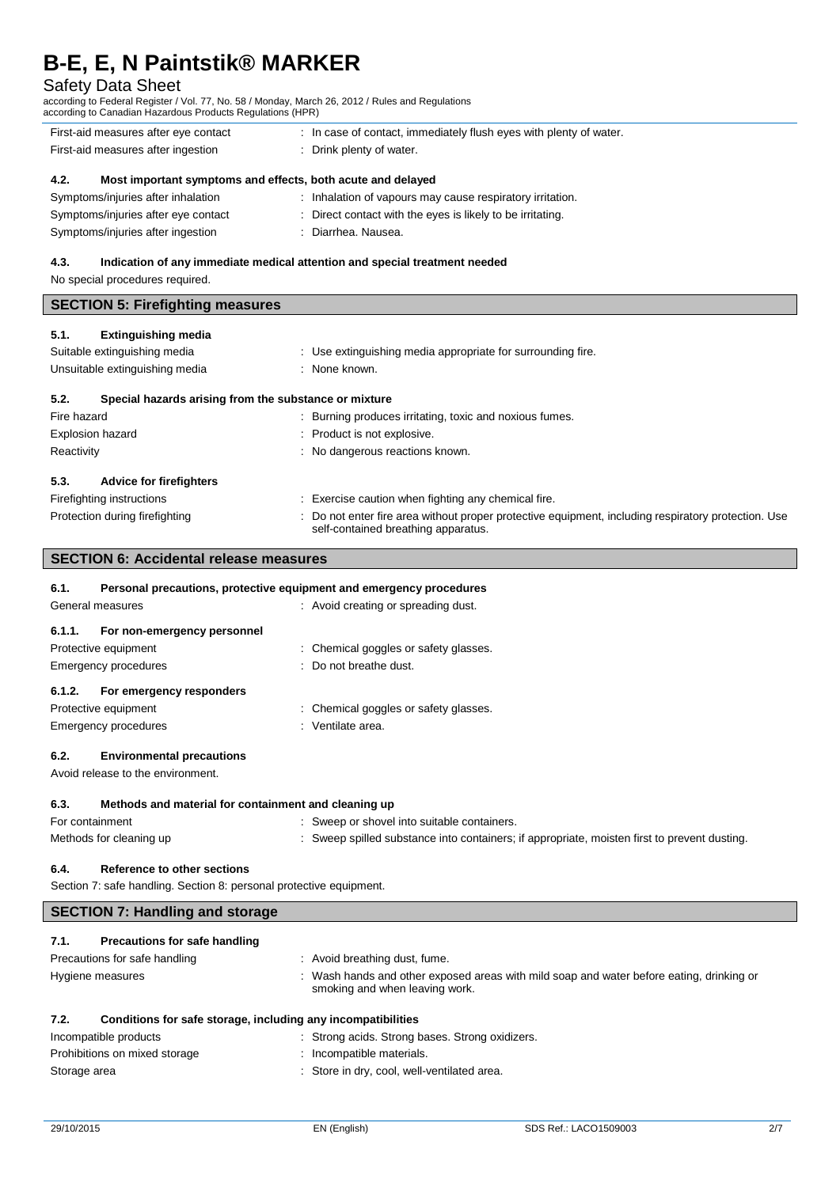## Safety Data Sheet

according to Federal Register / Vol. 77, No. 58 / Monday, March 26, 2012 / Rules and Regulations according to Canadian Hazardous Products Regulations (HPR)

| according to Odnagian nazaraogo i Toggoto Roggiationo (m. R)        |                                                                            |  |
|---------------------------------------------------------------------|----------------------------------------------------------------------------|--|
| First-aid measures after eye contact                                | : In case of contact, immediately flush eyes with plenty of water.         |  |
| First-aid measures after ingestion                                  | : Drink plenty of water.                                                   |  |
| Most important symptoms and effects, both acute and delayed<br>4.2. |                                                                            |  |
| Symptoms/injuries after inhalation                                  | : Inhalation of vapours may cause respiratory irritation.                  |  |
| Symptoms/injuries after eye contact                                 | Direct contact with the eyes is likely to be irritating.                   |  |
| Symptoms/injuries after ingestion                                   | Diarrhea. Nausea.<br>÷                                                     |  |
|                                                                     |                                                                            |  |
| 4.3.<br>No special procedures required.                             | Indication of any immediate medical attention and special treatment needed |  |
| <b>SECTION 5: Firefighting measures</b>                             |                                                                            |  |

| 5.2.<br>Special hazards arising from the substance or mixture |                                                                                                     |
|---------------------------------------------------------------|-----------------------------------------------------------------------------------------------------|
| Fire hazard                                                   | Burning produces irritating, toxic and noxious fumes.                                               |
| <b>Explosion hazard</b>                                       | : Product is not explosive.                                                                         |
| Reactivity                                                    | : No dangerous reactions known.                                                                     |
| 5.3.<br><b>Advice for firefighters</b>                        |                                                                                                     |
| Firefighting instructions                                     | Exercise caution when fighting any chemical fire.                                                   |
| Protection during firefighting                                | : Do not enter fire area without proper protective equipment, including respiratory protection. Use |

|  | self-contained breathing apparatus. |
|--|-------------------------------------|
|  |                                     |

## **SECTION 6: Accidental release measures**

#### **6.1. Personal precautions, protective equipment and emergency procedures**

| General measures                      | : Avoid creating or spreading dust.   |
|---------------------------------------|---------------------------------------|
| For non-emergency personnel<br>6.1.1. |                                       |
| Protective equipment                  | : Chemical goggles or safety glasses. |
| Emergency procedures                  | : Do not breathe dust.                |
| For emergency responders<br>6.1.2.    |                                       |
| Protective equipment                  | : Chemical goggles or safety glasses. |
| Emergency procedures                  | : Ventilate area.                     |
|                                       |                                       |

### **6.2. Environmental precautions**

Avoid release to the environment.

#### **6.3. Methods and material for containment and cleaning up**

| For containment         | : Sweep or shovel into suitable containers.                                                |
|-------------------------|--------------------------------------------------------------------------------------------|
| Methods for cleaning up | Sweep spilled substance into containers; if appropriate, moisten first to prevent dusting. |

## **6.4. Reference to other sections**

Section 7: safe handling. Section 8: personal protective equipment.

## **SECTION 7: Handling and storage**

## **7.1. Precautions for safe handling**

Precautions for safe handling : Avoid breathing dust, fume. Hygiene measures **interpretatal measures** : Wash hands and other exposed areas with mild soap and water before eating, drinking or smoking and when leaving work. **7.2. Conditions for safe storage, including any incompatibilities**

| Incompatible products         | : Strong acids. Strong bases. Strong oxidizers. |
|-------------------------------|-------------------------------------------------|
| Prohibitions on mixed storage | : Incompatible materials.                       |
| Storage area                  | : Store in dry, cool, well-ventilated area.     |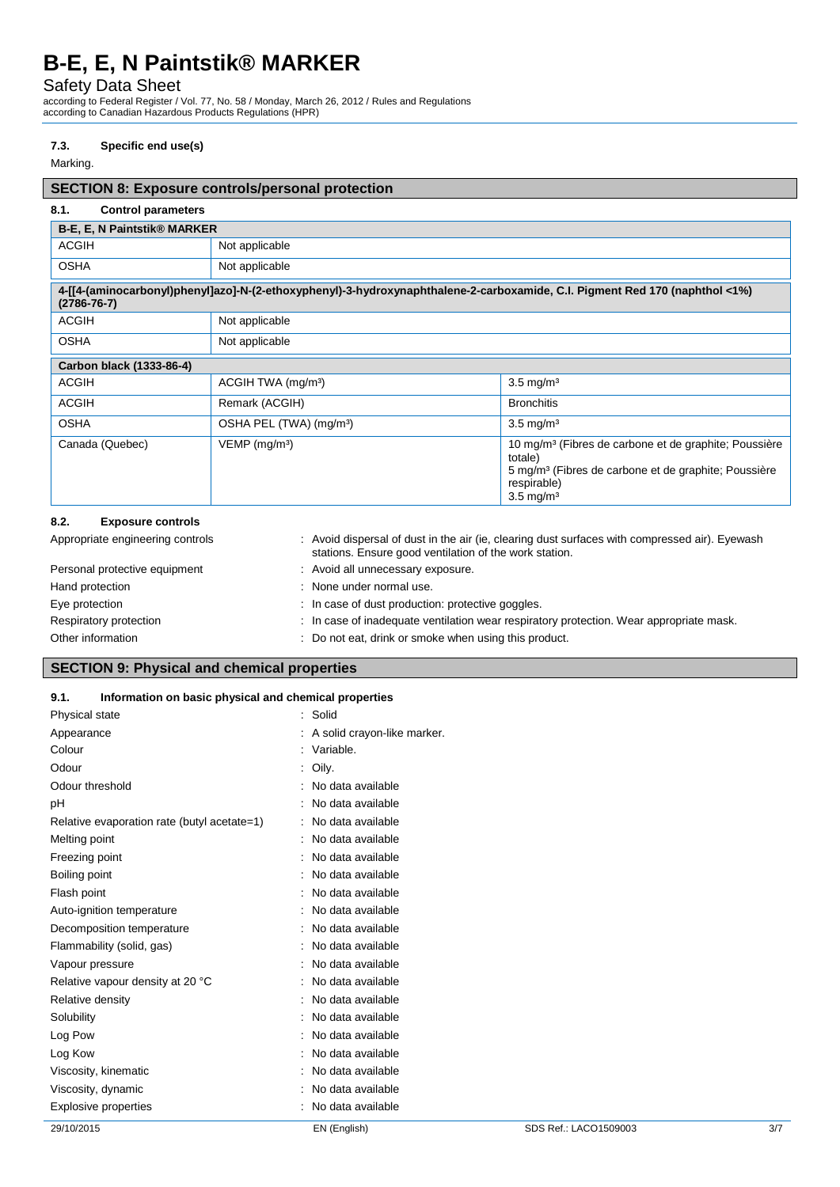Safety Data Sheet

according to Federal Register / Vol. 77, No. 58 / Monday, March 26, 2012 / Rules and Regulations according to Canadian Hazardous Products Regulations (HPR)

#### **7.3. Specific end use(s)**

Marking.

# **SECTION 8: Exposure controls/personal protection 8.1. Control parameters B-E, E, N Paintstik® MARKER** ACGIH Not applicable OSHA Not applicable **4-[[4-(aminocarbonyl)phenyl]azo]-N-(2-ethoxyphenyl)-3-hydroxynaphthalene-2-carboxamide, C.I. Pigment Red 170 (naphthol <1%) (2786-76-7)** ACGIH Not applicable OSHA Not applicable **Carbon black (1333-86-4)** ACGIH ACGIH TWA (mg/mª) 3.5 mg/m<sup>3</sup> ACGIH Remark (ACGIH) Bronchitis OSHA OSHA PEL (TWA) (mg/m<sup>3</sup>) 3.5 mg/m<sup>3</sup> Canada (Quebec) VEMP (mg/m<sup>3</sup>) VEMP (mg/m<sup>3</sup>) 10 mg/m<sup>3</sup> (Fibres de carbone et de graphite; Poussière totale) 5 mg/m³ (Fibres de carbone et de graphite; Poussière respirable)  $3.5$  mg/m<sup>3</sup> **8.2. Exposure controls**

| U.L.<br><b>LANUSULE CUITLING</b> |                                                                                                                                                          |
|----------------------------------|----------------------------------------------------------------------------------------------------------------------------------------------------------|
| Appropriate engineering controls | : Avoid dispersal of dust in the air (ie, clearing dust surfaces with compressed air). Eyewash<br>stations. Ensure good ventilation of the work station. |
| Personal protective equipment    | : Avoid all unnecessary exposure.                                                                                                                        |
| Hand protection                  | : None under normal use.                                                                                                                                 |
| Eye protection                   | : In case of dust production: protective goggles.                                                                                                        |
| Respiratory protection           | : In case of inadequate ventilation wear respiratory protection. Wear appropriate mask.                                                                  |
| Other information                | : Do not eat, drink or smoke when using this product.                                                                                                    |
|                                  |                                                                                                                                                          |

## **SECTION 9: Physical and chemical properties**

#### **9.1. Information on basic physical and chemical properties**

| Physical state                              | : Solid                       |                       |     |
|---------------------------------------------|-------------------------------|-----------------------|-----|
| Appearance                                  | : A solid crayon-like marker. |                       |     |
| Colour                                      | : Variable.                   |                       |     |
| Odour                                       | : Oily.                       |                       |     |
| Odour threshold                             | No data available             |                       |     |
| pH                                          | No data available             |                       |     |
| Relative evaporation rate (butyl acetate=1) | No data available             |                       |     |
| Melting point                               | No data available             |                       |     |
| Freezing point                              | No data available             |                       |     |
| Boiling point                               | No data available             |                       |     |
| Flash point                                 | No data available             |                       |     |
| Auto-ignition temperature                   | No data available             |                       |     |
| Decomposition temperature                   | No data available             |                       |     |
| Flammability (solid, gas)                   | No data available             |                       |     |
| Vapour pressure                             | No data available             |                       |     |
| Relative vapour density at 20 °C            | No data available             |                       |     |
| Relative density                            | No data available             |                       |     |
| Solubility                                  | : No data available           |                       |     |
| Log Pow                                     | No data available             |                       |     |
| Log Kow                                     | No data available             |                       |     |
| Viscosity, kinematic                        | No data available             |                       |     |
| Viscosity, dynamic                          | No data available             |                       |     |
| <b>Explosive properties</b>                 | No data available             |                       |     |
| 29/10/2015                                  | EN (English)                  | SDS Ref.: LACO1509003 | 3/7 |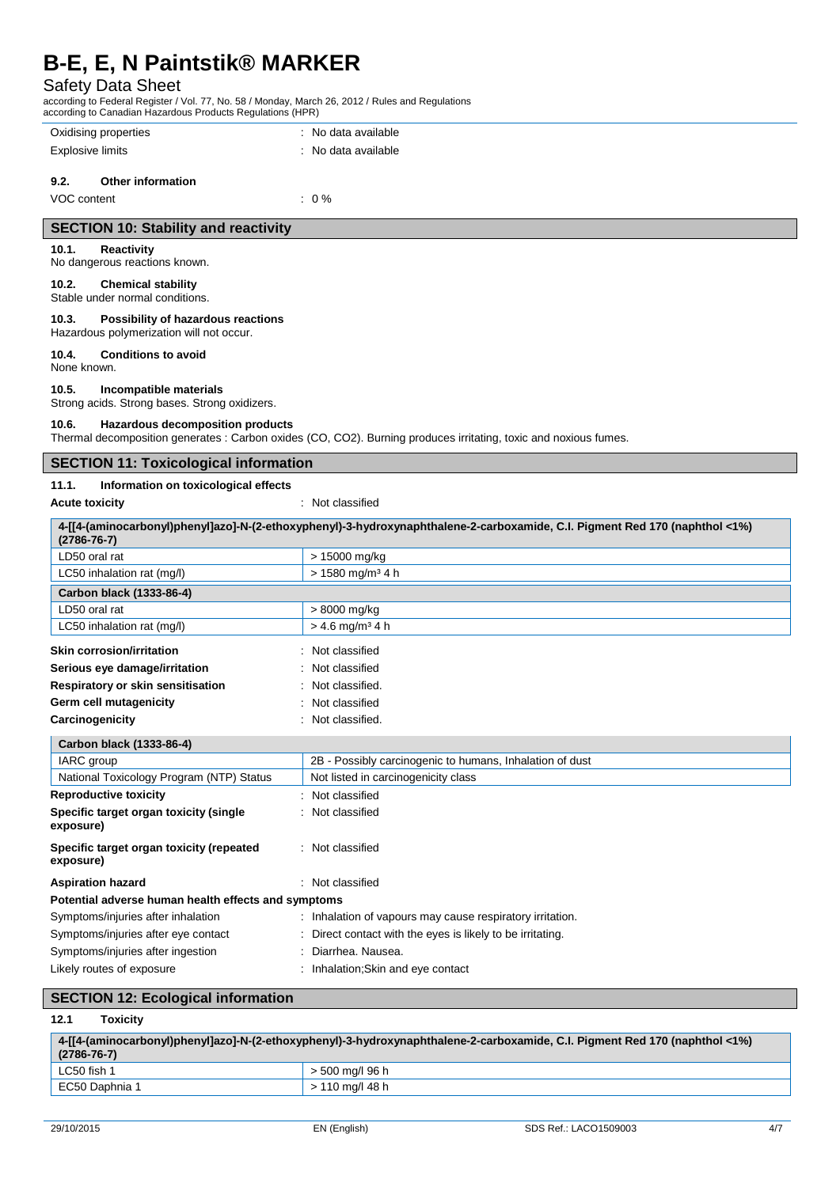# Safety Data Sheet

according to Federal Register / Vol. 77, No. 58 / Monday, March 26, 2012 / Rules and Regulations according to Canadian Hazardous Products Regulations (HPR)

| according to Canadian Hazardous Froducts Regulations (HFR) |                                                                                                                             |
|------------------------------------------------------------|-----------------------------------------------------------------------------------------------------------------------------|
| Oxidising properties                                       | : No data available                                                                                                         |
| <b>Explosive limits</b>                                    | : No data available                                                                                                         |
|                                                            |                                                                                                                             |
| 9.2.<br><b>Other information</b>                           |                                                                                                                             |
| VOC content                                                | $: 0 \%$                                                                                                                    |
| <b>SECTION 10: Stability and reactivity</b>                |                                                                                                                             |
| 10.1.<br>Reactivity                                        |                                                                                                                             |
| No dangerous reactions known.                              |                                                                                                                             |
| 10.2.<br><b>Chemical stability</b>                         |                                                                                                                             |
| Stable under normal conditions.                            |                                                                                                                             |
| 10.3.<br>Possibility of hazardous reactions                |                                                                                                                             |
| Hazardous polymerization will not occur.                   |                                                                                                                             |
| 10.4.<br><b>Conditions to avoid</b><br>None known.         |                                                                                                                             |
| 10.5.<br>Incompatible materials                            |                                                                                                                             |
| Strong acids. Strong bases. Strong oxidizers.              |                                                                                                                             |
| 10.6.<br><b>Hazardous decomposition products</b>           |                                                                                                                             |
|                                                            | Thermal decomposition generates : Carbon oxides (CO, CO2). Burning produces irritating, toxic and noxious fumes.            |
| <b>SECTION 11: Toxicological information</b>               |                                                                                                                             |
| 11.1.<br>Information on toxicological effects              |                                                                                                                             |
| <b>Acute toxicity</b>                                      | : Not classified                                                                                                            |
|                                                            |                                                                                                                             |
| $(2786 - 76 - 7)$                                          | 4-[[4-(aminocarbonyl)phenyl]azo]-N-(2-ethoxyphenyl)-3-hydroxynaphthalene-2-carboxamide, C.I. Pigment Red 170 (naphthol <1%) |
| LD50 oral rat                                              | > 15000 mg/kg                                                                                                               |
| LC50 inhalation rat (mg/l)                                 | > 1580 mg/m <sup>3</sup> 4 h                                                                                                |
| Carbon black (1333-86-4)                                   |                                                                                                                             |
| LD50 oral rat                                              | > 8000 mg/kg                                                                                                                |
| LC50 inhalation rat (mg/l)                                 | $> 4.6$ mg/m <sup>3</sup> 4 h                                                                                               |
| <b>Skin corrosion/irritation</b>                           | Not classified                                                                                                              |
| Serious eye damage/irritation                              | Not classified                                                                                                              |
| Respiratory or skin sensitisation                          | Not classified.                                                                                                             |
| Germ cell mutagenicity                                     | Not classified                                                                                                              |
| Carcinogenicity                                            | Not classified.                                                                                                             |
|                                                            |                                                                                                                             |
| Carbon black (1333-86-4)<br>IARC group                     | 2B - Possibly carcinogenic to humans, Inhalation of dust                                                                    |
| National Toxicology Program (NTP) Status                   | Not listed in carcinogenicity class                                                                                         |
| <b>Reproductive toxicity</b>                               | Not classified                                                                                                              |
| Specific target organ toxicity (single                     | Not classified                                                                                                              |
| exposure)                                                  |                                                                                                                             |
| Specific target organ toxicity (repeated<br>exposure)      | Not classified                                                                                                              |
| <b>Aspiration hazard</b>                                   | : Not classified                                                                                                            |
| Potential adverse human health effects and symptoms        |                                                                                                                             |
| Symptoms/injuries after inhalation                         | : Inhalation of vapours may cause respiratory irritation.                                                                   |
| Symptoms/injuries after eye contact                        | : Direct contact with the eyes is likely to be irritating.                                                                  |
| Symptoms/injuries after ingestion                          | Diarrhea. Nausea.                                                                                                           |
| Likely routes of exposure                                  | : Inhalation; Skin and eye contact                                                                                          |

## **SECTION 12: Ecological information**

## **12.1 Toxicity**

| $(2786 - 76 - 7)$ | 4%4-4{ 4-(aminocarbonyl)phenyl]azo]-N-(2-ethoxyphenyl)-3-hydroxynaphthalene-2-carboxamide, C.I. Pigment Red 170 (naphthol <1%) |
|-------------------|--------------------------------------------------------------------------------------------------------------------------------|
| LC50 fish 1       | > 500 mg/l 96 h                                                                                                                |
| EC50 Daphnia 1    | > 110 mg/l 48 h                                                                                                                |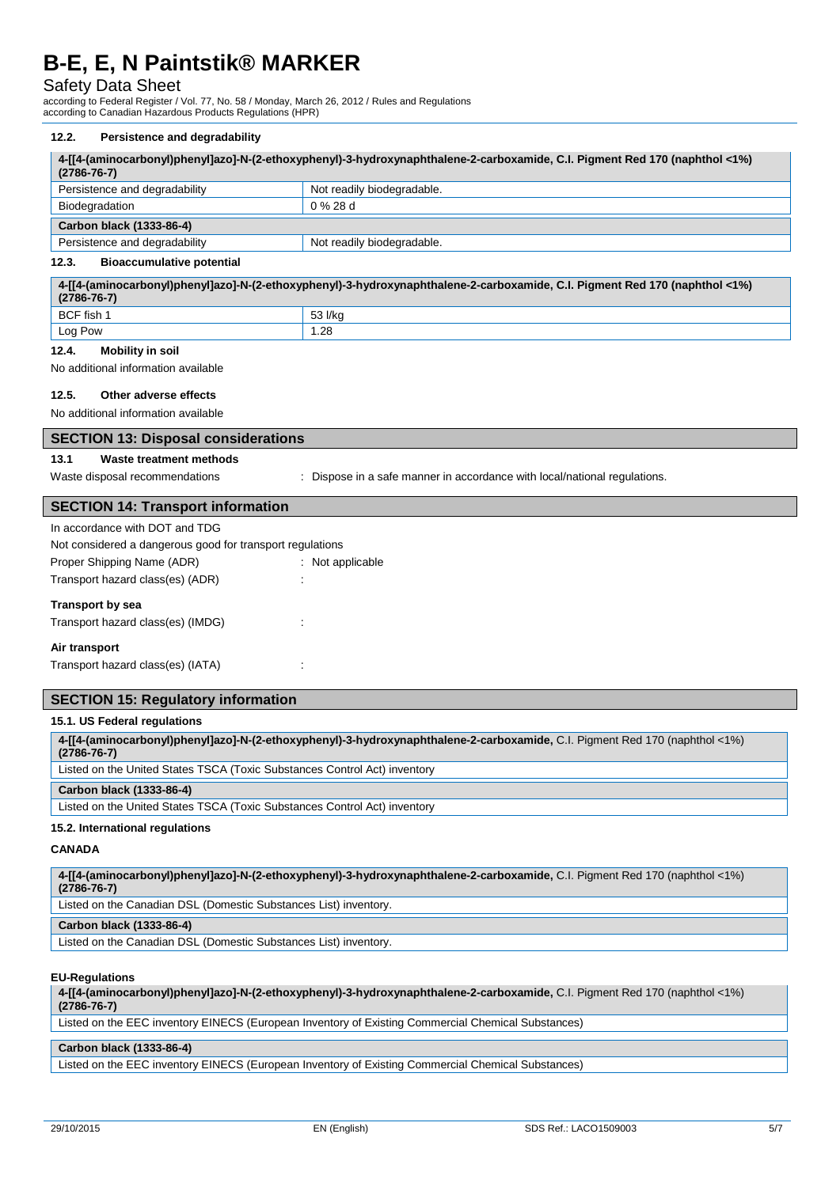# Safety Data Sheet

according to Federal Register / Vol. 77, No. 58 / Monday, March 26, 2012 / Rules and Regulations according to Canadian Hazardous Products Regulations (HPR)

### **12.2. Persistence and degradability**

| $(2786 - 76 - 7)$                                                                       | 4-[[4-(aminocarbonyl)phenyl]azo]-N-(2-ethoxyphenyl)-3-hydroxynaphthalene-2-carboxamide, C.I. Pigment Red 170 (naphthol <1%) |
|-----------------------------------------------------------------------------------------|-----------------------------------------------------------------------------------------------------------------------------|
| Persistence and degradability                                                           | Not readily biodegradable.                                                                                                  |
| Biodegradation                                                                          | 0 % 28 d                                                                                                                    |
| Carbon black (1333-86-4)                                                                |                                                                                                                             |
| Persistence and degradability                                                           | Not readily biodegradable.                                                                                                  |
| 12.3.<br><b>Bioaccumulative potential</b>                                               |                                                                                                                             |
| $(2786 - 76 - 7)$                                                                       | 4-[[4-(aminocarbonyl)phenyl]azo]-N-(2-ethoxyphenyl)-3-hydroxynaphthalene-2-carboxamide, C.I. Pigment Red 170 (naphthol <1%) |
| BCF fish 1                                                                              | 53 l/kg                                                                                                                     |
| Log Pow                                                                                 | 1.28                                                                                                                        |
| 12.4.<br><b>Mobility in soil</b>                                                        |                                                                                                                             |
| No additional information available                                                     |                                                                                                                             |
| 12.5.<br>Other adverse effects                                                          |                                                                                                                             |
|                                                                                         |                                                                                                                             |
| No additional information available                                                     |                                                                                                                             |
| <b>SECTION 13: Disposal considerations</b>                                              |                                                                                                                             |
| Waste treatment methods<br>13.1                                                         |                                                                                                                             |
| Waste disposal recommendations                                                          | : Dispose in a safe manner in accordance with local/national regulations.                                                   |
| <b>SECTION 14: Transport information</b>                                                |                                                                                                                             |
| In accordance with DOT and TDG                                                          |                                                                                                                             |
|                                                                                         |                                                                                                                             |
| Not considered a dangerous good for transport regulations<br>Proper Shipping Name (ADR) | : Not applicable                                                                                                            |
|                                                                                         |                                                                                                                             |
| Transport hazard class(es) (ADR)                                                        |                                                                                                                             |
| <b>Transport by sea</b>                                                                 |                                                                                                                             |
| Transport hazard class(es) (IMDG)                                                       |                                                                                                                             |
| Air transport                                                                           |                                                                                                                             |

Transport hazard class(es) (IATA) :

#### **SECTION 15: Regulatory information**

### **15.1. US Federal regulations**

| 4-[[4-(aminocarbonyl)phenyl]azo]-N-(2-ethoxyphenyl)-3-hydroxynaphthalene-2-carboxamide, C.I. Pigment Red 170 (naphthol <1%)<br>$(2786 - 76 - 7)$ |
|--------------------------------------------------------------------------------------------------------------------------------------------------|
| Listed on the United States TSCA (Toxic Substances Control Act) inventory                                                                        |
| Carbon black (1333-86-4)                                                                                                                         |
|                                                                                                                                                  |
| Listed on the United States TSCA (Toxic Substances Control Act) inventory                                                                        |

#### **CANADA**

**4-[[4-(aminocarbonyl)phenyl]azo]-N-(2-ethoxyphenyl)-3-hydroxynaphthalene-2-carboxamide,** C.I. Pigment Red 170 (naphthol <1%) **(2786-76-7)** Listed on the Canadian DSL (Domestic Substances List) inventory.

#### **Carbon black (1333-86-4)**

Listed on the Canadian DSL (Domestic Substances List) inventory.

#### **EU-Regulations**

**4-[[4-(aminocarbonyl)phenyl]azo]-N-(2-ethoxyphenyl)-3-hydroxynaphthalene-2-carboxamide,** C.I. Pigment Red 170 (naphthol <1%) **(2786-76-7)**

Listed on the EEC inventory EINECS (European Inventory of Existing Commercial Chemical Substances)

#### **Carbon black (1333-86-4)**

Listed on the EEC inventory EINECS (European Inventory of Existing Commercial Chemical Substances)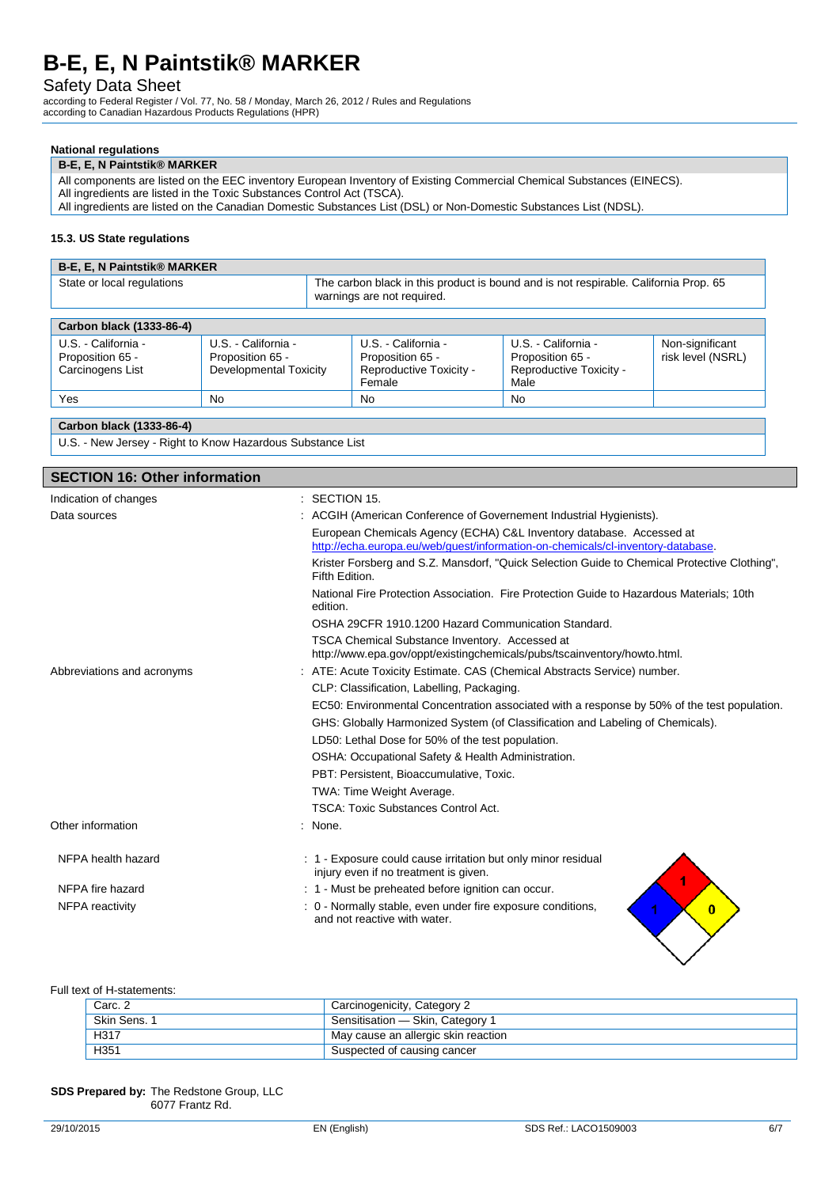## Safety Data Sheet

according to Federal Register / Vol. 77, No. 58 / Monday, March 26, 2012 / Rules and Regulations according to Canadian Hazardous Products Regulations (HPR)

#### **National regulations**

#### **B-E, E, N Paintstik® MARKER**

All components are listed on the EEC inventory European Inventory of Existing Commercial Chemical Substances (EINECS). All ingredients are listed in the Toxic Substances Control Act (TSCA).

All ingredients are listed on the Canadian Domestic Substances List (DSL) or Non-Domestic Substances List (NDSL).

#### **15.3. US State regulations**

| <b>B-E. E. N Paintstik® MARKER</b> |                                                                                                                    |
|------------------------------------|--------------------------------------------------------------------------------------------------------------------|
| State or local regulations         | The carbon black in this product is bound and is not respirable. California Prop. 65<br>warnings are not required. |
|                                    |                                                                                                                    |

| Carbon black (1333-86-4)                                    |                                                                   |                                                                              |                                                                            |                                      |
|-------------------------------------------------------------|-------------------------------------------------------------------|------------------------------------------------------------------------------|----------------------------------------------------------------------------|--------------------------------------|
| U.S. - California -<br>Proposition 65 -<br>Carcinogens List | U.S. - California -<br>Proposition 65 -<br>Developmental Toxicity | U.S. - California -<br>Proposition 65 -<br>Reproductive Toxicity -<br>Female | U.S. - California -<br>Proposition 65 -<br>Reproductive Toxicity -<br>Male | Non-significant<br>risk level (NSRL) |
| Yes                                                         | No                                                                | No                                                                           | <b>No</b>                                                                  |                                      |
|                                                             |                                                                   |                                                                              |                                                                            |                                      |

#### **Carbon black (1333-86-4)**

U.S. - New Jersey - Right to Know Hazardous Substance List

## **SECTION 16: Other information** Indication of changes : SECTION 15. Data sources **in the source of Conference of Governement Industrial Hygienists**). European Chemicals Agency (ECHA) C&L Inventory database. Accessed at [http://echa.europa.eu/web/guest/information-on-chemicals/cl-inventory-database.](http://echa.europa.eu/web/guest/information-on-chemicals/cl-inventory-database) Krister Forsberg and S.Z. Mansdorf, "Quick Selection Guide to Chemical Protective Clothing", Fifth Edition. National Fire Protection Association. Fire Protection Guide to Hazardous Materials; 10th edition. OSHA 29CFR 1910.1200 Hazard Communication Standard. TSCA Chemical Substance Inventory. Accessed at http://www.epa.gov/oppt/existingchemicals/pubs/tscainventory/howto.html. Abbreviations and acronyms : ATE: Acute Toxicity Estimate. CAS (Chemical Abstracts Service) number. CLP: Classification, Labelling, Packaging. EC50: Environmental Concentration associated with a response by 50% of the test population. GHS: Globally Harmonized System (of Classification and Labeling of Chemicals). LD50: Lethal Dose for 50% of the test population. OSHA: Occupational Safety & Health Administration. PBT: Persistent, Bioaccumulative, Toxic. TWA: Time Weight Average. TSCA: Toxic Substances Control Act. Other information : None. NFPA health hazard : 1 - Exposure could cause irritation but only minor residual injury even if no treatment is given. NFPA fire hazard **in the state of the state of the state of the state of the state of the state of the SNFPA** fire beginning the NFPA fire and occur. NFPA reactivity in the state of the stable of the exposure conditions,  $0 -$  Normally stable, even under fire exposure conditions,  $\overline{0}$ and not reactive with water.

#### Full text of H-statements:

| Carc. 2      | Carcinogenicity, Category 2          |
|--------------|--------------------------------------|
| Skin Sens, 1 | Sensitisation - Skin, Category 1     |
| H317         | 'May cause an allergic skin reaction |
| H351         | Suspected of causing cancer          |

#### **SDS Prepared by:** The Redstone Group, LLC 6077 Frantz Rd.